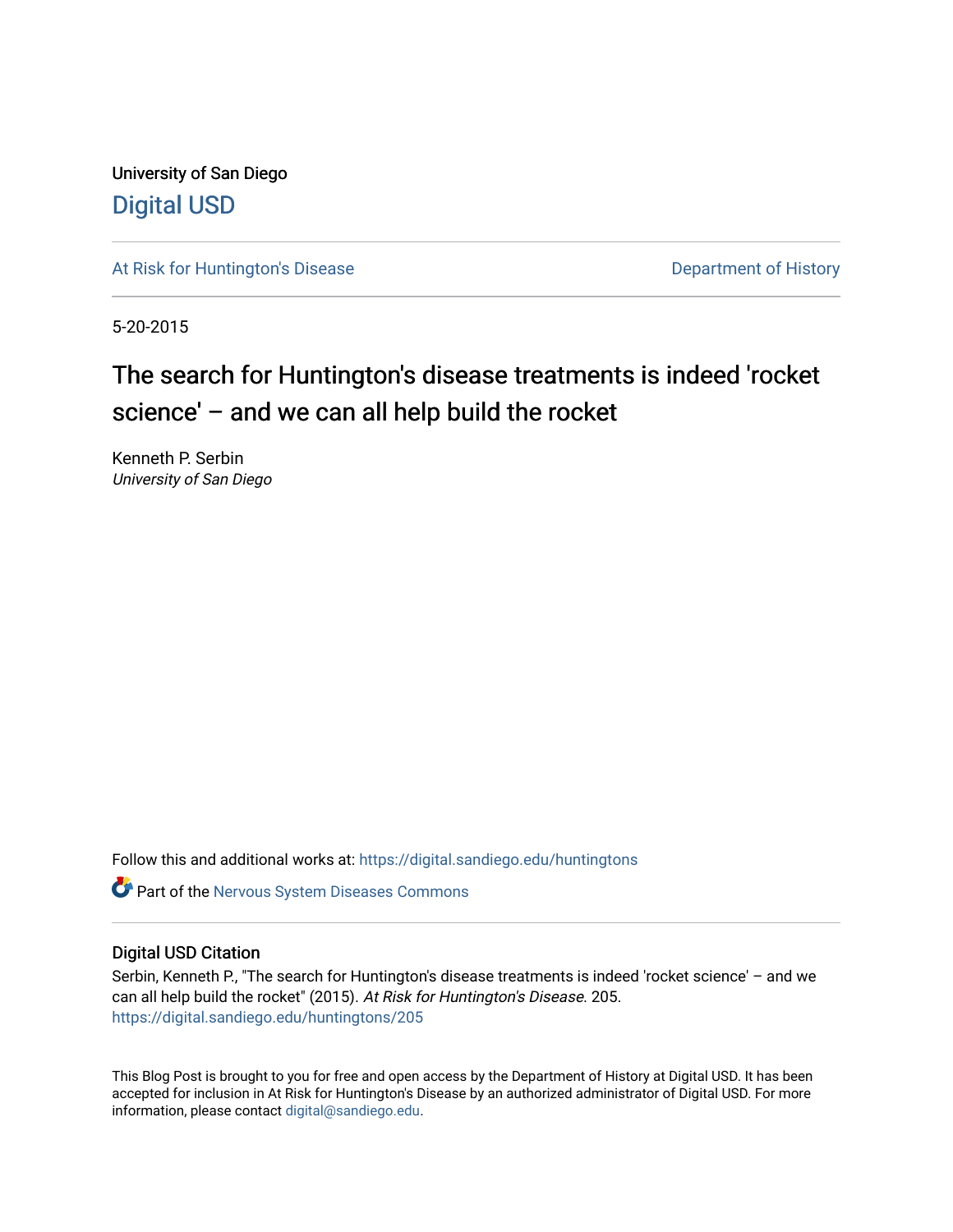University of San Diego [Digital USD](https://digital.sandiego.edu/)

[At Risk for Huntington's Disease](https://digital.sandiego.edu/huntingtons) **Department of History** Department of History

5-20-2015

# The search for Huntington's disease treatments is indeed 'rocket science' – and we can all help build the rocket

Kenneth P. Serbin University of San Diego

Follow this and additional works at: [https://digital.sandiego.edu/huntingtons](https://digital.sandiego.edu/huntingtons?utm_source=digital.sandiego.edu%2Fhuntingtons%2F205&utm_medium=PDF&utm_campaign=PDFCoverPages)

**C** Part of the [Nervous System Diseases Commons](http://network.bepress.com/hgg/discipline/928?utm_source=digital.sandiego.edu%2Fhuntingtons%2F205&utm_medium=PDF&utm_campaign=PDFCoverPages)

# Digital USD Citation

Serbin, Kenneth P., "The search for Huntington's disease treatments is indeed 'rocket science' – and we can all help build the rocket" (2015). At Risk for Huntington's Disease. 205. [https://digital.sandiego.edu/huntingtons/205](https://digital.sandiego.edu/huntingtons/205?utm_source=digital.sandiego.edu%2Fhuntingtons%2F205&utm_medium=PDF&utm_campaign=PDFCoverPages)

This Blog Post is brought to you for free and open access by the Department of History at Digital USD. It has been accepted for inclusion in At Risk for Huntington's Disease by an authorized administrator of Digital USD. For more information, please contact [digital@sandiego.edu.](mailto:digital@sandiego.edu)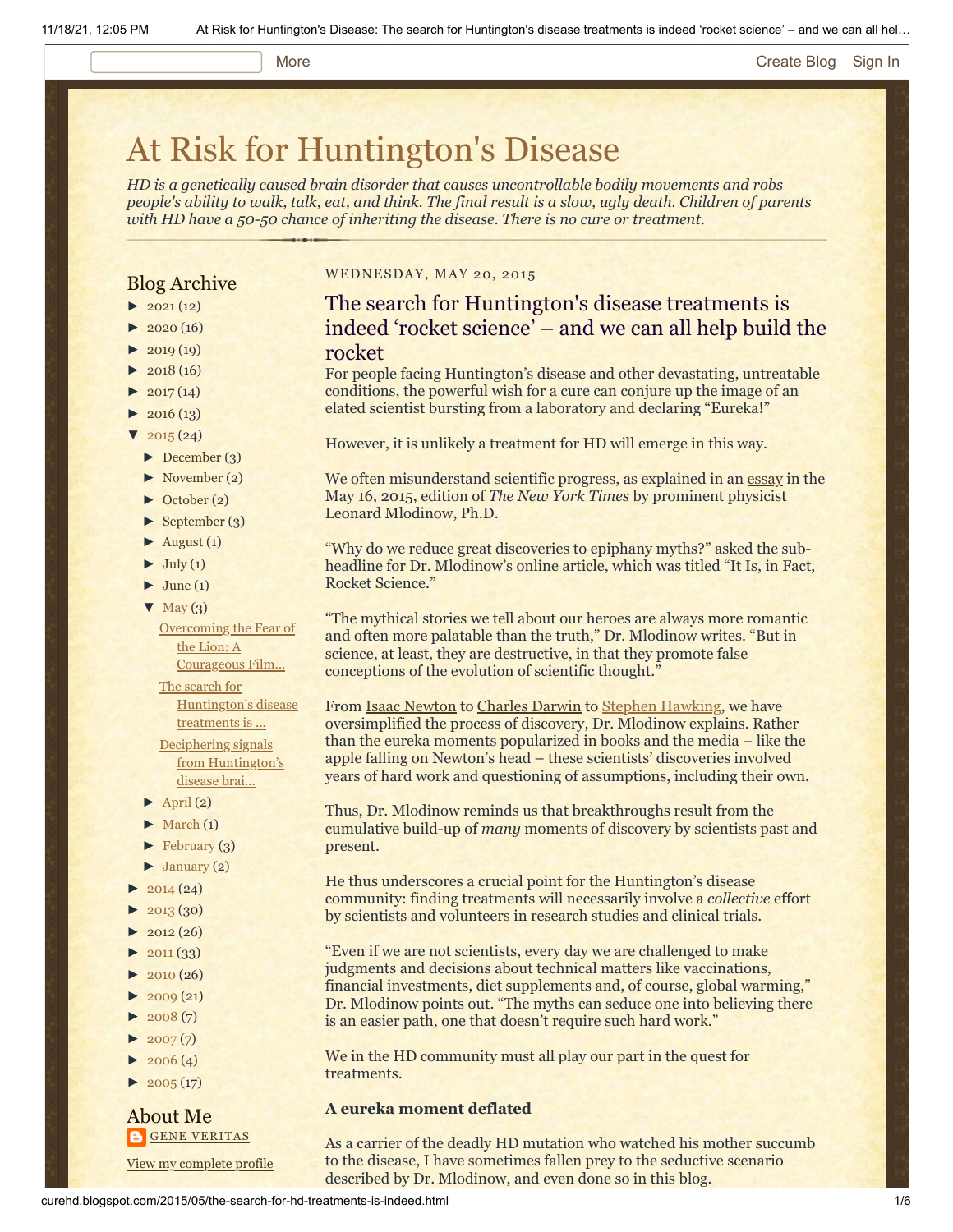# More **[Create Blog](https://www.blogger.com/home#create) [Sign In](https://www.blogger.com/)**

# [At Risk for Huntington's Disease](http://curehd.blogspot.com/)

*HD is a genetically caused brain disorder that causes uncontrollable bodily movements and robs people's ability to walk, talk, eat, and think. The final result is a slow, ugly death. Children of parents with HD have a 50-50 chance of inheriting the disease. There is no cure or treatment.*

# Blog Archive

- $\blacktriangleright$  [2021](http://curehd.blogspot.com/2021/)(12)
- $2020(16)$  $2020(16)$
- $2019(19)$  $2019(19)$
- $\blacktriangleright$  [2018](http://curehd.blogspot.com/2018/) (16)
- $2017(14)$  $2017(14)$
- $2016(13)$  $2016(13)$
- $\sqrt{2015(24)}$  $\sqrt{2015(24)}$  $\sqrt{2015(24)}$
- [►](javascript:void(0)) [December](http://curehd.blogspot.com/2015/12/) (3)
- [►](javascript:void(0)) [November](http://curehd.blogspot.com/2015/11/) (2)
- [►](javascript:void(0)) [October](http://curehd.blogspot.com/2015/10/) (2)
- $\blacktriangleright$  [September](http://curehd.blogspot.com/2015/09/) (3)
- $\blacktriangleright$  [August](http://curehd.blogspot.com/2015/08/) (1)
- $\blacktriangleright$  [July](http://curehd.blogspot.com/2015/07/) (1)
- $\blacktriangleright$  [June](http://curehd.blogspot.com/2015/06/) (1)
- $\nabla$  [May](http://curehd.blogspot.com/2015/05/)  $(3)$ 
	- [Overcoming](http://curehd.blogspot.com/2015/05/overcoming-fear-of-lion-courageous-film_29.html) the Fear of the Lion: A Courageous Film...

The search for

[Huntington's](http://curehd.blogspot.com/2015/05/the-search-for-hd-treatments-is-indeed.html) disease treatments is ... Deciphering signals from [Huntington's](http://curehd.blogspot.com/2015/05/deciphering-signals-from-huntingtons.html) disease brai...

- $\blacktriangleright$  [April](http://curehd.blogspot.com/2015/04/) (2)
- $\blacktriangleright$  [March](http://curehd.blogspot.com/2015/03/)  $(1)$
- $\blacktriangleright$  [February](http://curehd.blogspot.com/2015/02/) (3)
- $\blacktriangleright$  [January](http://curehd.blogspot.com/2015/01/) (2)
- $2014(24)$  $2014(24)$
- $-2013(30)$  $-2013(30)$  $-2013(30)$
- $\blacktriangleright$  [2012](http://curehd.blogspot.com/2012/) (26)
- $\blacktriangleright$  [2011](http://curehd.blogspot.com/2011/) (33)
- $2010(26)$  $2010(26)$
- $\blacktriangleright$  [2009](http://curehd.blogspot.com/2009/) (21)
- $\blacktriangleright$  [2008](http://curehd.blogspot.com/2008/) $(7)$
- $\blacktriangleright$  [2007](http://curehd.blogspot.com/2007/) $(7)$
- $\blacktriangleright$  [2006](http://curehd.blogspot.com/2006/) (4)
- $\blacktriangleright$  [2005](http://curehd.blogspot.com/2005/) (17)

# About Me **GENE [VERITAS](https://www.blogger.com/profile/10911736205741688185)**

View my [complete](https://www.blogger.com/profile/10911736205741688185) profile

### WEDNESDAY, MAY 20, 2015

# The search for Huntington's disease treatments is indeed 'rocket science' – and we can all help build the rocket

For people facing Huntington's disease and other devastating, untreatable conditions, the powerful wish for a cure can conjure up the image of an elated scientist bursting from a laboratory and declaring "Eureka!"

However, it is unlikely a treatment for HD will emerge in this way.

We often misunderstand scientific progress, as explained in an [essay](http://www.nytimes.com/2015/05/16/opinion/it-is-in-fact-rocket-science.html?_r=0) in the May 16, 2015, edition of *The New York Times* by prominent physicist Leonard Mlodinow, Ph.D.

"Why do we reduce great discoveries to epiphany myths?" asked the subheadline for Dr. Mlodinow's online article, which was titled "It Is, in Fact, Rocket Science."

"The mythical stories we tell about our heroes are always more romantic and often more palatable than the truth," Dr. Mlodinow writes. "But in science, at least, they are destructive, in that they promote false conceptions of the evolution of scientific thought."

From **Isaac Newton** to [Charles Darwin](http://topics.nytimes.com/top/reference/timestopics/people/d/charles_robert_darwin/index.html) to [Stephen Hawking](http://curehd.blogspot.com/2012/04/from-paralyzed-genius-lessons-of.html), we have oversimplified the process of discovery, Dr. Mlodinow explains. Rather than the eureka moments popularized in books and the media – like the apple falling on Newton's head – these scientists' discoveries involved years of hard work and questioning of assumptions, including their own.

Thus, Dr. Mlodinow reminds us that breakthroughs result from the cumulative build-up of *many* moments of discovery by scientists past and present.

He thus underscores a crucial point for the Huntington's disease community: finding treatments will necessarily involve a *collective* effort by scientists and volunteers in research studies and clinical trials.

"Even if we are not scientists, every day we are challenged to make judgments and decisions about technical matters like vaccinations, financial investments, diet supplements and, of course, global warming," Dr. Mlodinow points out. "The myths can seduce one into believing there is an easier path, one that doesn't require such hard work."

We in the HD community must all play our part in the quest for treatments.

# **A eureka moment deflated**

As a carrier of the deadly HD mutation who watched his mother succumb to the disease, I have sometimes fallen prey to the seductive scenario described by Dr. Mlodinow, and even done so in this blog.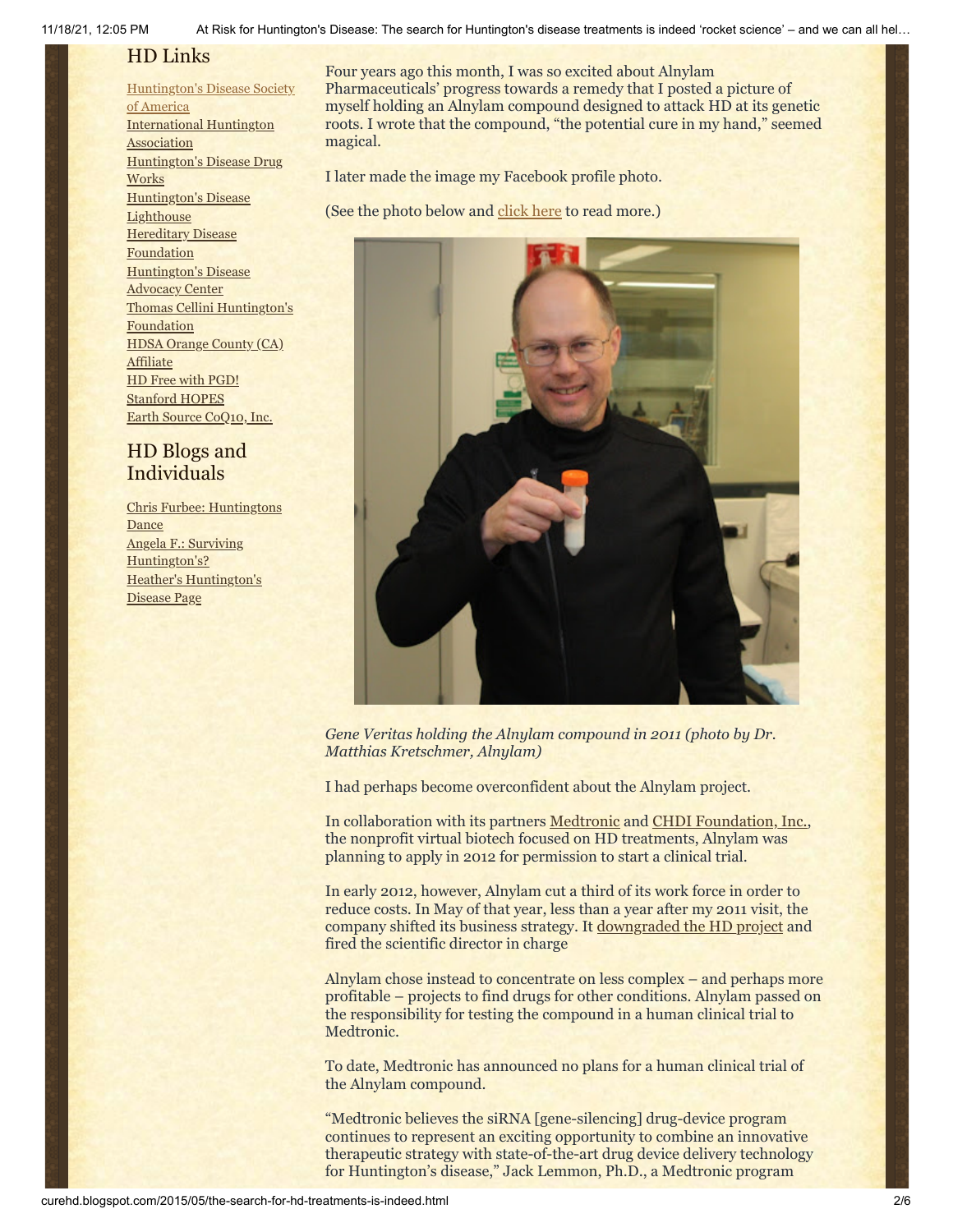11/18/21, 12:05 PM At Risk for Huntington's Disease: The search for Huntington's disease treatments is indeed 'rocket science' – and we can all hel…

# HD Links

# [Huntington's](http://www.hdsa.org/) Disease Society

of America [International](http://www.huntington-assoc.com/) Huntington **Association** [Huntington's](http://hddrugworks.org/) Disease Drug **Works** [Huntington's](http://www.hdlighthouse.org/) Disease **Lighthouse Hereditary Disease [Foundation](http://www.hdfoundation.org/)** [Huntington's](http://www.hdac.org/) Disease Advocacy Center Thomas [Cellini Huntington's](http://www.ourtchfoundation.org/) **Foundation** HDSA Orange County (CA) **[Affiliate](http://www.hdsaoc.org/)** HD Free with [PGD!](http://www.hdfreewithpgd.com/) [Stanford](http://www.stanford.edu/group/hopes/) HOPES Earth Source [CoQ10,](http://www.escoq10.com/) Inc.

# HD Blogs and Individuals

Chris Furbee: [Huntingtons](http://www.huntingtonsdance.org/) **Dance** Angela F.: Surviving [Huntington's?](http://survivinghuntingtons.blogspot.com/) Heather's [Huntington's](http://heatherdugdale.angelfire.com/) Disease Page

Four years ago this month, I was so excited about Alnylam Pharmaceuticals' progress towards a remedy that I posted a picture of myself holding an Alnylam compound designed to attack HD at its genetic roots. I wrote that the compound, "the potential cure in my hand," seemed magical.

I later made the image my Facebook profile photo.

(See the photo below and [click here](http://curehd.blogspot.com/2011/05/holding-potential-cure-in-my-hand.html) to read more.)



*Gene Veritas holding the Alnylam compound in 2011 (photo by Dr. Matthias Kretschmer, Alnylam)*

I had perhaps become overconfident about the Alnylam project.

In collaboration with its partners [Medtronic](http://www.medtronic.com/) and [CHDI Foundation, Inc.,](http://chdifoundation.org/) the nonprofit virtual biotech focused on HD treatments, Alnylam was planning to apply in 2012 for permission to start a clinical trial.

In early 2012, however, Alnylam cut a third of its work force in order to reduce costs. In May of that year, less than a year after my 2011 visit, the company shifted its business strategy. It [downgraded the HD project](https://www.genomeweb.com/rnai/alnylam-steps-back-huntingtons-drug-deal-sees-two-partnerships-year-end) and fired the scientific director in charge

Alnylam chose instead to concentrate on less complex – and perhaps more profitable – projects to find drugs for other conditions. Alnylam passed on the responsibility for testing the compound in a human clinical trial to Medtronic.

To date, Medtronic has announced no plans for a human clinical trial of the Alnylam compound.

"Medtronic believes the siRNA [gene-silencing] drug-device program continues to represent an exciting opportunity to combine an innovative therapeutic strategy with state-of-the-art drug device delivery technology for Huntington's disease," Jack Lemmon, Ph.D., a Medtronic program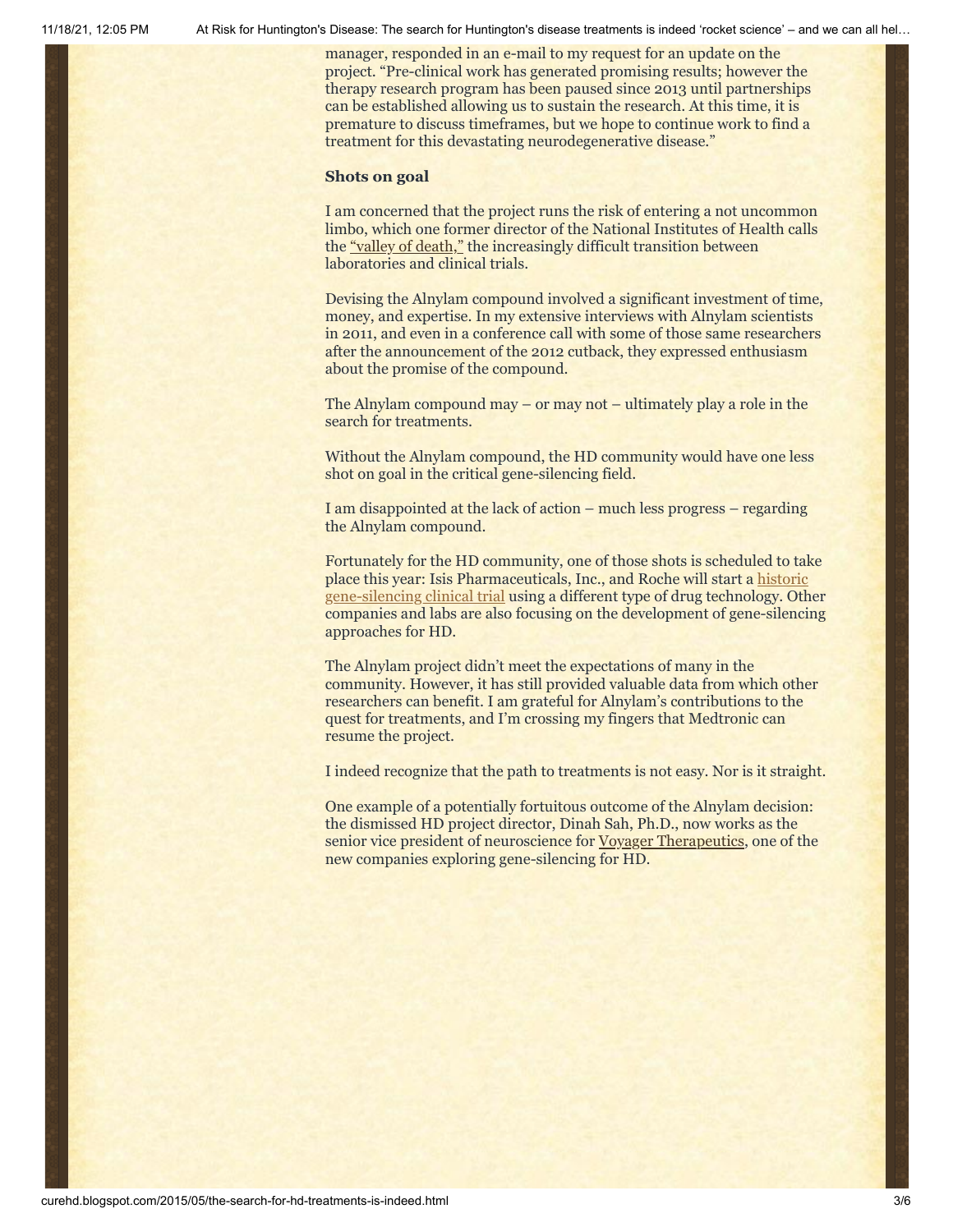11/18/21, 12:05 PM At Risk for Huntington's Disease: The search for Huntington's disease treatments is indeed 'rocket science' – and we can all hel…

manager, responded in an e-mail to my request for an update on the project. "Pre-clinical work has generated promising results; however the therapy research program has been paused since 2013 until partnerships can be established allowing us to sustain the research. At this time, it is premature to discuss timeframes, but we hope to continue work to find a treatment for this devastating neurodegenerative disease."

# **Shots on goal**

I am concerned that the project runs the risk of entering a not uncommon limbo, which one former director of the National Institutes of Health calls the ["valley of death,"](http://news.emory.edu/stories/2014/02/hspub_drugs_valley_of_death/campus.html) the increasingly difficult transition between laboratories and clinical trials.

Devising the Alnylam compound involved a significant investment of time, money, and expertise. In my extensive interviews with Alnylam scientists in 2011, and even in a conference call with some of those same researchers after the announcement of the 2012 cutback, they expressed enthusiasm about the promise of the compound.

The Alnylam compound may – or may not – ultimately play a role in the search for treatments.

Without the Alnylam compound, the HD community would have one less shot on goal in the critical gene-silencing field.

I am disappointed at the lack of action – much less progress – regarding the Alnylam compound.

Fortunately for the HD community, one of those shots is scheduled to take place this year: Isis Pharmaceuticals, Inc., and Roche will start a historic [gene-silencing clinical trial using a different type of drug technology. Oth](http://curehd.blogspot.com/2014/09/moving-toward-potential-treatment-isis.html)er companies and labs are also focusing on the development of gene-silencing approaches for HD.

The Alnylam project didn't meet the expectations of many in the community. However, it has still provided valuable data from which other researchers can benefit. I am grateful for Alnylam's contributions to the quest for treatments, and I'm crossing my fingers that Medtronic can resume the project.

I indeed recognize that the path to treatments is not easy. Nor is it straight.

One example of a potentially fortuitous outcome of the Alnylam decision: the dismissed HD project director, Dinah Sah, Ph.D., now works as the senior vice president of neuroscience for [Voyager Therapeutics](http://www.voyagertherapeutics.com/index.php), one of the new companies exploring gene-silencing for HD.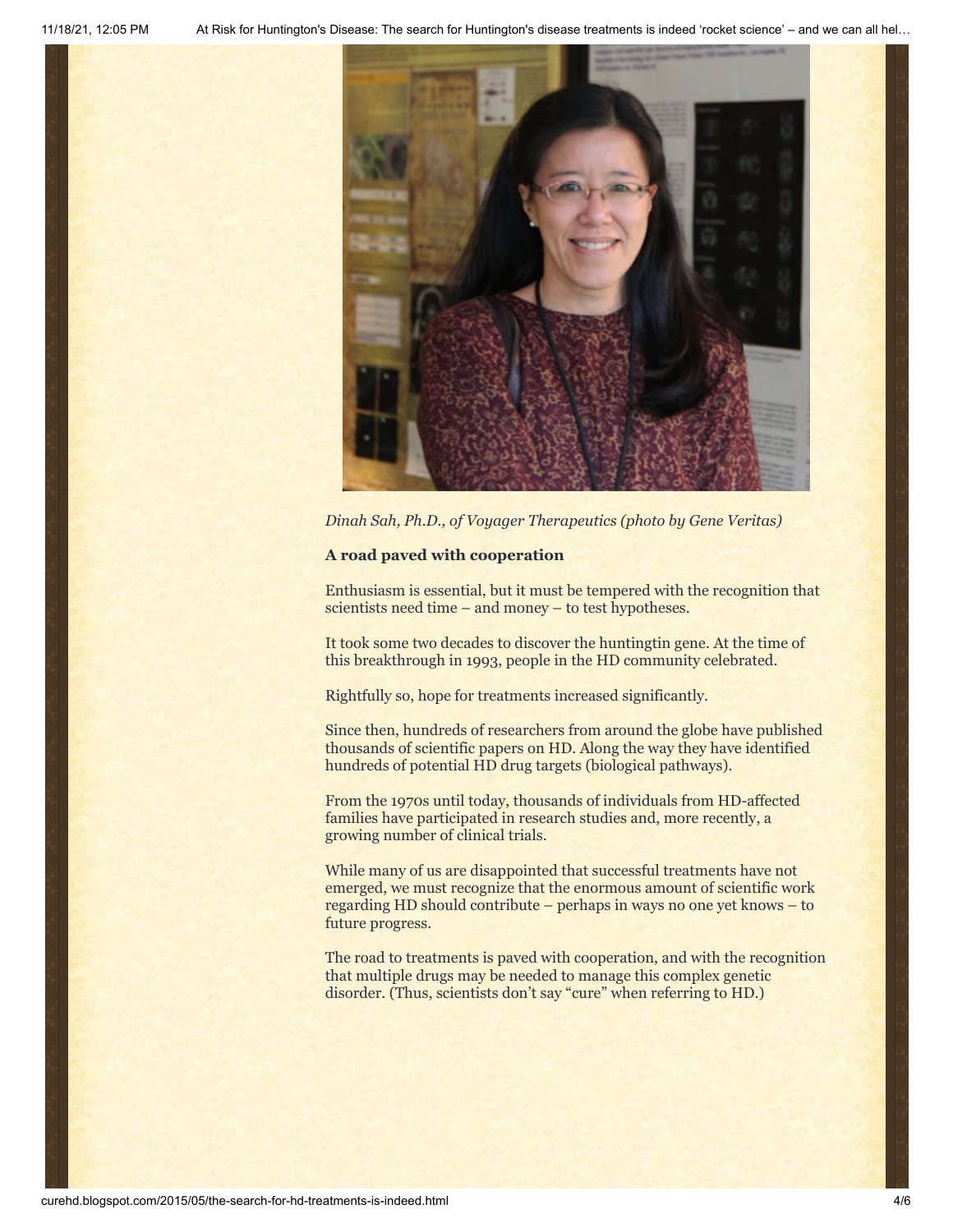

*Dinah Sah, Ph.D., of Voyager Therapeutics (photo by Gene Veritas)*

# **A road paved with cooperation**

Enthusiasm is essential, but it must be tempered with the recognition that scientists need time – and money – to test hypotheses.

It took some two decades to discover the huntingtin gene. At the time of this breakthrough in 1993, people in the HD community celebrated.

Rightfully so, hope for treatments increased significantly.

Since then, hundreds of researchers from around the globe have published thousands of scientific papers on HD. Along the way they have identified hundreds of potential HD drug targets (biological pathways).

From the 1970s until today, thousands of individuals from HD-affected families have participated in research studies and, more recently, a growing number of clinical trials.

While many of us are disappointed that successful treatments have not emerged, we must recognize that the enormous amount of scientific work regarding HD should contribute – perhaps in ways no one yet knows – to future progress.

The road to treatments is paved with cooperation, and with the recognition that multiple drugs may be needed to manage this complex genetic disorder. (Thus, scientists don't say "cure" when referring to HD.)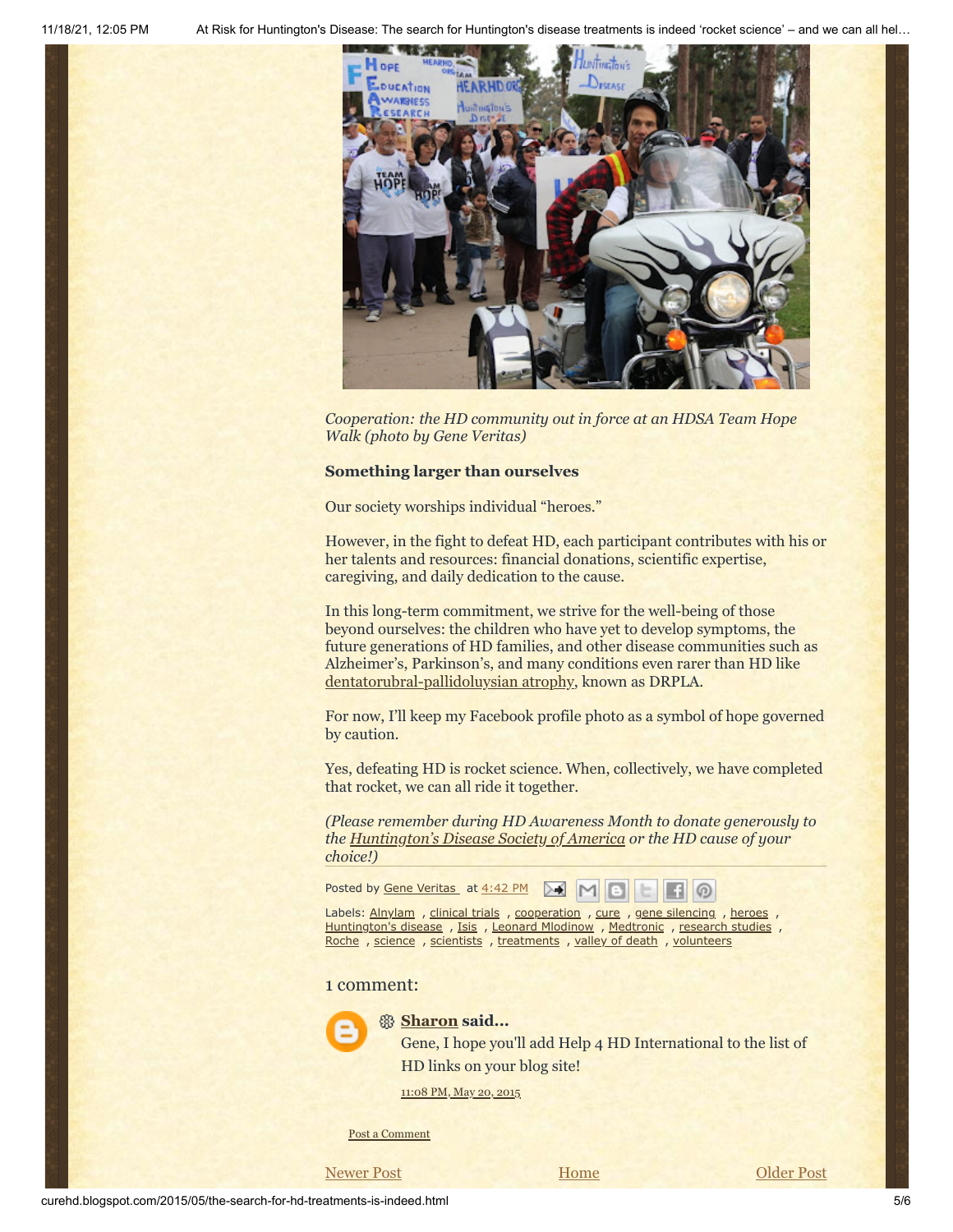

*Cooperation: the HD community out in force at an HDSA Team Hope Walk (photo by Gene Veritas)*

### **Something larger than ourselves**

Our society worships individual "heroes."

However, in the fight to defeat HD, each participant contributes with his or her talents and resources: financial donations, scientific expertise, caregiving, and daily dedication to the cause.

In this long-term commitment, we strive for the well-being of those beyond ourselves: the children who have yet to develop symptoms, the future generations of HD families, and other disease communities such as Alzheimer's, Parkinson's, and many conditions even rarer than HD like [dentatorubral-pallidoluysian atrophy](http://ghr.nlm.nih.gov/condition/dentatorubral-pallidoluysian-atrophy), known as DRPLA.

For now, I'll keep my Facebook profile photo as a symbol of hope governed by caution.

Yes, defeating HD is rocket science. When, collectively, we have completed that rocket, we can all ride it together.

*(Please remember during HD Awareness Month to donate generously to the [Huntington's Disease Society of America](https://interland3.donorperfect.net/weblink/weblink.aspx?name=E5596&id=1) or the HD cause of your choice!)*

Posted by Gene [Veritas](https://www.blogger.com/profile/03599828959793084715) at [4:42](http://curehd.blogspot.com/2015/05/the-search-for-hd-treatments-is-indeed.html) PM စ

Labels: [Alnylam](http://curehd.blogspot.com/search/label/Alnylam), [clinical](http://curehd.blogspot.com/search/label/clinical%20trials) trials, [cooperation](http://curehd.blogspot.com/search/label/cooperation), [cure](http://curehd.blogspot.com/search/label/cure), gene [silencing](http://curehd.blogspot.com/search/label/gene%20silencing), [heroes](http://curehd.blogspot.com/search/label/heroes), [Huntington's](http://curehd.blogspot.com/search/label/Huntington%27s%20disease) disease, [Isis](http://curehd.blogspot.com/search/label/Isis), Leonard [Mlodinow](http://curehd.blogspot.com/search/label/Leonard%20Mlodinow), [Medtronic](http://curehd.blogspot.com/search/label/Medtronic), [research](http://curehd.blogspot.com/search/label/research%20studies) studies, [Roche](http://curehd.blogspot.com/search/label/Roche), [science](http://curehd.blogspot.com/search/label/science), [scientists](http://curehd.blogspot.com/search/label/scientists), [treatments](http://curehd.blogspot.com/search/label/treatments), valley of [death](http://curehd.blogspot.com/search/label/valley%20of%20death), [volunteers](http://curehd.blogspot.com/search/label/volunteers)

# 1 comment:



## **[Sharon](https://www.blogger.com/profile/09723927864776050193) said...**

Gene, I hope you'll add Help 4 HD International to the list of HD links on your blog site!

[11:08](http://curehd.blogspot.com/2015/05/the-search-for-hd-treatments-is-indeed.html?showComment=1432188497840#c5172156679719287274) PM, May 20, 2015

Post a [Comment](https://www.blogger.com/comment.g?blogID=10081281&postID=6313777701220386284&isPopup=true)

[Newer Post](http://curehd.blogspot.com/2015/05/overcoming-fear-of-lion-courageous-film_29.html) **Dividends Home [Older Post](http://curehd.blogspot.com/2015/05/deciphering-signals-from-huntingtons.html)**